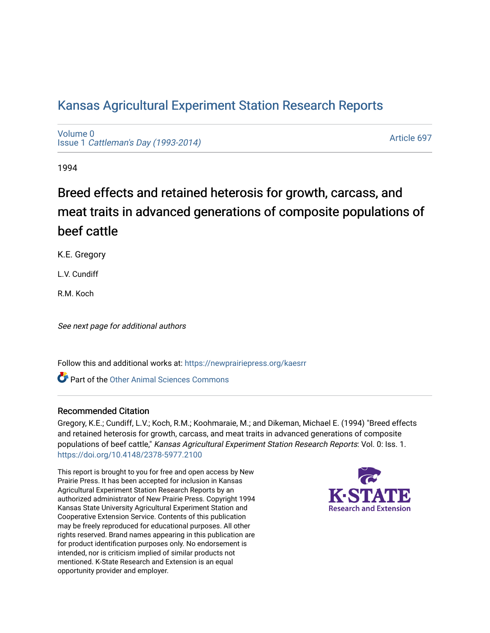# [Kansas Agricultural Experiment Station Research Reports](https://newprairiepress.org/kaesrr)

[Volume 0](https://newprairiepress.org/kaesrr/vol0) Issue 1 [Cattleman's Day \(1993-2014\)](https://newprairiepress.org/kaesrr/vol0/iss1) 

[Article 697](https://newprairiepress.org/kaesrr/vol0/iss1/697) 

1994

# Breed effects and retained heterosis for growth, carcass, and meat traits in advanced generations of composite populations of beef cattle

K.E. Gregory

L.V. Cundiff

R.M. Koch

See next page for additional authors

Follow this and additional works at: [https://newprairiepress.org/kaesrr](https://newprairiepress.org/kaesrr?utm_source=newprairiepress.org%2Fkaesrr%2Fvol0%2Fiss1%2F697&utm_medium=PDF&utm_campaign=PDFCoverPages) 

**C** Part of the [Other Animal Sciences Commons](http://network.bepress.com/hgg/discipline/82?utm_source=newprairiepress.org%2Fkaesrr%2Fvol0%2Fiss1%2F697&utm_medium=PDF&utm_campaign=PDFCoverPages)

#### Recommended Citation

Gregory, K.E.; Cundiff, L.V.; Koch, R.M.; Koohmaraie, M.; and Dikeman, Michael E. (1994) "Breed effects and retained heterosis for growth, carcass, and meat traits in advanced generations of composite populations of beef cattle," Kansas Agricultural Experiment Station Research Reports: Vol. 0: Iss. 1. <https://doi.org/10.4148/2378-5977.2100>

This report is brought to you for free and open access by New Prairie Press. It has been accepted for inclusion in Kansas Agricultural Experiment Station Research Reports by an authorized administrator of New Prairie Press. Copyright 1994 Kansas State University Agricultural Experiment Station and Cooperative Extension Service. Contents of this publication may be freely reproduced for educational purposes. All other rights reserved. Brand names appearing in this publication are for product identification purposes only. No endorsement is intended, nor is criticism implied of similar products not mentioned. K-State Research and Extension is an equal opportunity provider and employer.

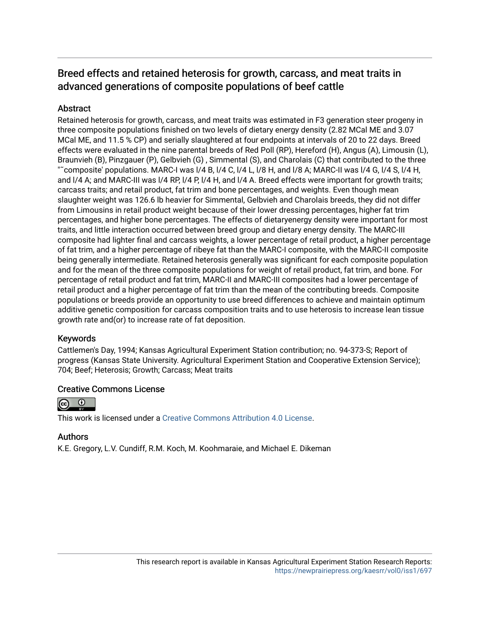## Breed effects and retained heterosis for growth, carcass, and meat traits in advanced generations of composite populations of beef cattle

## **Abstract**

Retained heterosis for growth, carcass, and meat traits was estimated in F3 generation steer progeny in three composite populations finished on two levels of dietary energy density (2.82 MCal ME and 3.07 MCal ME, and 11.5 % CP) and serially slaughtered at four endpoints at intervals of 20 to 22 days. Breed effects were evaluated in the nine parental breeds of Red Poll (RP), Hereford (H), Angus (A), Limousin (L), Braunvieh (B), Pinzgauer (P), Gelbvieh (G) , Simmental (S), and Charolais (C) that contributed to the three "˜composite' populations. MARC-I was l/4 B, l/4 C, l/4 L, l/8 H, and l/8 A; MARC-II was l/4 G, l/4 S, l/4 H, and l/4 A; and MARC-III was l/4 RP, l/4 P, l/4 H, and l/4 A. Breed effects were important for growth traits; carcass traits; and retail product, fat trim and bone percentages, and weights. Even though mean slaughter weight was 126.6 lb heavier for Simmental, Gelbvieh and Charolais breeds, they did not differ from Limousins in retail product weight because of their lower dressing percentages, higher fat trim percentages, and higher bone percentages. The effects of dietaryenergy density were important for most traits, and little interaction occurred between breed group and dietary energy density. The MARC-III composite had lighter final and carcass weights, a lower percentage of retail product, a higher percentage of fat trim, and a higher percentage of ribeye fat than the MARC-I composite, with the MARC-II composite being generally intermediate. Retained heterosis generally was significant for each composite population and for the mean of the three composite populations for weight of retail product, fat trim, and bone. For percentage of retail product and fat trim, MARC-II and MARC-III composites had a lower percentage of retail product and a higher percentage of fat trim than the mean of the contributing breeds. Composite populations or breeds provide an opportunity to use breed differences to achieve and maintain optimum additive genetic composition for carcass composition traits and to use heterosis to increase lean tissue growth rate and(or) to increase rate of fat deposition.

## Keywords

Cattlemen's Day, 1994; Kansas Agricultural Experiment Station contribution; no. 94-373-S; Report of progress (Kansas State University. Agricultural Experiment Station and Cooperative Extension Service); 704; Beef; Heterosis; Growth; Carcass; Meat traits

## Creative Commons License



This work is licensed under a [Creative Commons Attribution 4.0 License](https://creativecommons.org/licenses/by/4.0/).

## Authors

K.E. Gregory, L.V. Cundiff, R.M. Koch, M. Koohmaraie, and Michael E. Dikeman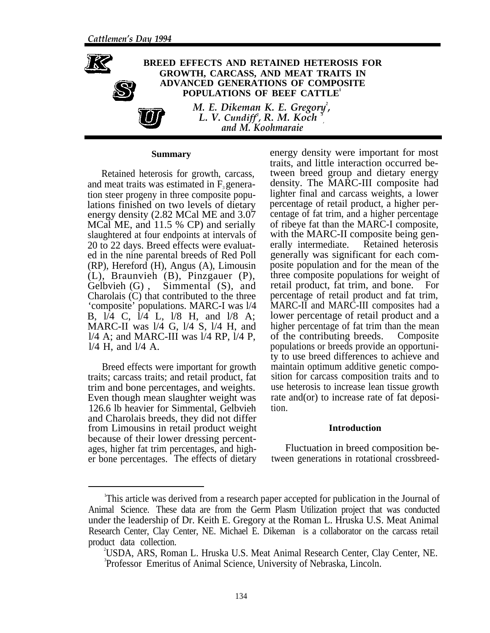

#### **Summary**

Retained heterosis for growth, carcass, and meat traits was estimated in  $F_3$  generation steer progeny in three composite populations finished on two levels of dietary energy density (2.82 MCal ME and 3.07 MCal ME, and 11.5 % CP) and serially slaughtered at four endpoints at intervals of 20 to 22 days. Breed effects were evaluated in the nine parental breeds of Red Poll (RP), Hereford (H), Angus (A), Limousin (L), Braunvieh (B), Pinzgauer (P), Gelbvieh (G) , Simmental (S), and Charolais (C) that contributed to the three 'composite' populations. MARC-I was l/4 B, l/4 C, l/4 L, l/8 H, and l/8 A; MARC-II was l/4 G, l/4 S, l/4 H, and l/4 A; and MARC-III was l/4 RP, l/4 P, l/4 H, and l/4 A.

Breed effects were important for growth traits; carcass traits; and retail product, fat trim and bone percentages, and weights. Even though mean slaughter weight was 126.6 lb heavier for Simmental, Gelbvieh and Charolais breeds, they did not differ from Limousins in retail product weight because of their lower dressing percentages, higher fat trim percentages, and higher bone percentages. The effects of dietary

energy density were important for most traits, and little interaction occurred between breed group and dietary energy density. The MARC-III composite had lighter final and carcass weights, a lower percentage of retail product, a higher percentage of fat trim, and a higher percentage of ribeye fat than the MARC-I composite, with the MARC-II composite being generally intermediate. Retained heterosis generally was significant for each composite population and for the mean of the three composite populations for weight of retail product, fat trim, and bone. For percentage of retail product and fat trim, MARC-II and MARC-III composites had a lower percentage of retail product and a higher percentage of fat trim than the mean of the contributing breeds. Composite populations or breeds provide an opportunity to use breed differences to achieve and maintain optimum additive genetic composition for carcass composition traits and to use heterosis to increase lean tissue growth rate and(or) to increase rate of fat deposition.

#### **Introduction**

Fluctuation in breed composition between generations in rotational crossbreed-

<sup>1</sup> This article was derived from a research paper accepted for publication in the Journal of Animal Science. These data are from the Germ Plasm Utilization project that was conducted under the leadership of Dr. Keith E. Gregory at the Roman L. Hruska U.S. Meat Animal Research Center, Clay Center, NE. Michael E. Dikeman is a collaborator on the carcass retail product data collection.

<sup>2</sup> USDA, ARS, Roman L. Hruska U.S. Meat Animal Research Center, Clay Center, NE. 3 Professor Emeritus of Animal Science, University of Nebraska, Lincoln.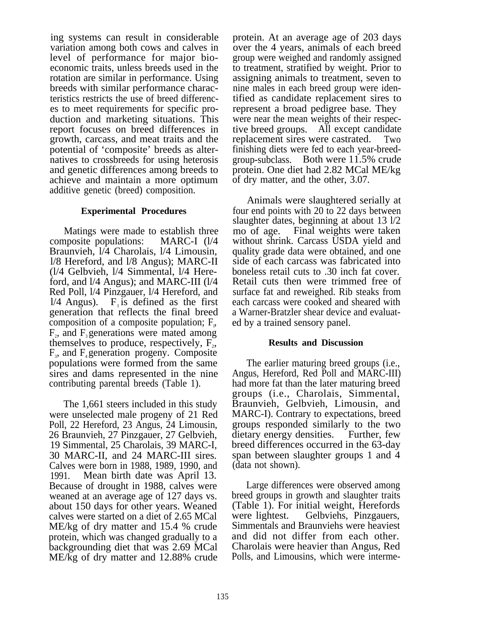ing systems can result in considerable variation among both cows and calves in level of performance for major bioeconomic traits, unless breeds used in the rotation are similar in performance. Using breeds with similar performance characteristics restricts the use of breed differences to meet requirements for specific production and marketing situations. This report focuses on breed differences in growth, carcass, and meat traits and the potential of 'composite' breeds as alternatives to crossbreeds for using heterosis and genetic differences among breeds to achieve and maintain a more optimum additive genetic (breed) composition.

#### **Experimental Procedures**

Matings were made to establish three composite populations: MARC-I (l/4 Braunvieh, l/4 Charolais, l/4 Limousin, l/8 Hereford, and l/8 Angus); MARC-II (l/4 Gelbvieh, l/4 Simmental, l/4 Hereford, and l/4 Angus); and MARC-III (l/4 Red Poll, l/4 Pinzgauer, l/4 Hereford, and  $1/4$  Angus). F<sub>1</sub> is defined as the first generation that reflects the final breed composition of a composite population;  $F_{\mu}$ ,  $F<sub>2</sub>$ , and  $F<sub>3</sub>$  generations were mated among themselves to produce, respectively,  $F_2$ ,  $F_3$ , and  $F_4$  generation progeny. Composite populations were formed from the same sires and dams represented in the nine contributing parental breeds (Table 1).

The 1,661 steers included in this study were unselected male progeny of 21 Red Poll, 22 Hereford, 23 Angus, 24 Limousin, 26 Braunvieh, 27 Pinzgauer, 27 Gelbvieh, 19 Simmental, 25 Charolais, 39 MARC-I, 30 MARC-II, and 24 MARC-III sires. Calves were born in 1988, 1989, 1990, and 1991. Mean birth date was April 13. Because of drought in 1988, calves were weaned at an average age of 127 days vs. about 150 days for other years. Weaned calves were started on a diet of 2.65 MCal ME/kg of dry matter and 15.4 % crude protein, which was changed gradually to a backgrounding diet that was 2.69 MCal ME/kg of dry matter and 12.88% crude

protein. At an average age of 203 days over the 4 years, animals of each breed group were weighed and randomly assigned to treatment, stratified by weight. Prior to assigning animals to treatment, seven to nine males in each breed group were identified as candidate replacement sires to represent a broad pedigree base. They were near the mean weights of their respective breed groups. All except candidate replacement sires were castrated. Two finishing diets were fed to each year-breedgroup-subclass. Both were 11.5% crude protein. One diet had 2.82 MCal ME/kg of dry matter, and the other, 3.07.

Animals were slaughtered serially at four end points with 20 to 22 days between slaughter dates, beginning at about 13 l/2 mo of age. Final weights were taken without shrink. Carcass USDA yield and quality grade data were obtained, and one side of each carcass was fabricated into boneless retail cuts to .30 inch fat cover. Retail cuts then were trimmed free of surface fat and reweighed. Rib steaks from each carcass were cooked and sheared with a Warner-Bratzler shear device and evaluated by a trained sensory panel.

#### **Results and Discussion**

The earlier maturing breed groups (i.e., Angus, Hereford, Red Poll and MARC-III) had more fat than the later maturing breed groups (i.e., Charolais, Simmental, Braunvieh, Gelbvieh, Limousin, and MARC-I). Contrary to expectations, breed groups responded similarly to the two dietary energy densities. Further, few breed differences occurred in the 63-day span between slaughter groups 1 and 4 (data not shown).

Large differences were observed among breed groups in growth and slaughter traits (Table 1). For initial weight, Herefords were lightest. Gelbviehs, Pinzgauers, Simmentals and Braunviehs were heaviest and did not differ from each other. Charolais were heavier than Angus, Red Polls, and Limousins, which were interme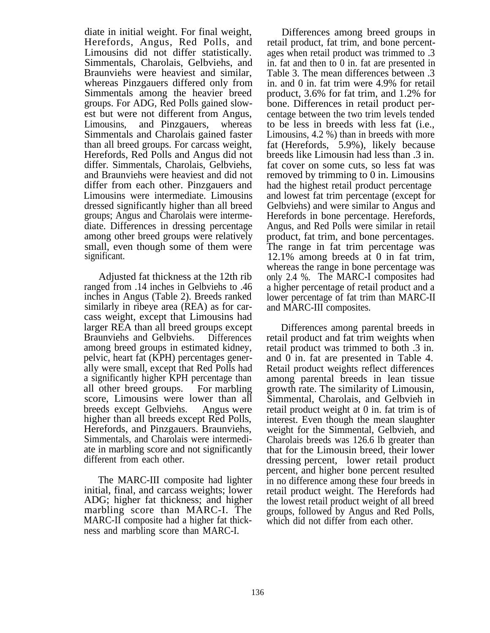diate in initial weight. For final weight, Herefords, Angus, Red Polls, and Limousins did not differ statistically. Simmentals, Charolais, Gelbviehs, and Braunviehs were heaviest and similar, whereas Pinzgauers differed only from Simmentals among the heavier breed groups. For ADG, Red Polls gained slowest but were not different from Angus,<br>Limousins, and Pinzgauers, whereas and Pinzgauers, whereas Simmentals and Charolais gained faster than all breed groups. For carcass weight, Herefords, Red Polls and Angus did not differ. Simmentals, Charolais, Gelbviehs, and Braunviehs were heaviest and did not differ from each other. Pinzgauers and Limousins were intermediate. Limousins dressed significantly higher than all breed groups; Angus and Charolais were intermediate. Differences in dressing percentage among other breed groups were relatively small, even though some of them were significant.

Adjusted fat thickness at the 12th rib ranged from .14 inches in Gelbviehs to .46 inches in Angus (Table 2). Breeds ranked similarly in ribeye area (REA) as for carcass weight, except that Limousins had larger REA than all breed groups except Braunviehs and Gelbviehs. Differences among breed groups in estimated kidney, pelvic, heart fat (KPH) percentages generally were small, except that Red Polls had a significantly higher KPH percentage than all other breed groups. For marbling score, Limousins were lower than all breeds except Gelbviehs. Angus were higher than all breeds except Red Polls, Herefords, and Pinzgauers. Braunviehs, Simmentals, and Charolais were intermediate in marbling score and not significantly different from each other.

The MARC-III composite had lighter initial, final, and carcass weights; lower ADG; higher fat thickness; and higher marbling score than MARC-I. The MARC-II composite had a higher fat thickness and marbling score than MARC-I.

Differences among breed groups in retail product, fat trim, and bone percentages when retail product was trimmed to .3 in. fat and then to 0 in. fat are presented in Table 3. The mean differences between .3 in. and 0 in. fat trim were 4.9% for retail product, 3.6% for fat trim, and 1.2% for bone. Differences in retail product percentage between the two trim levels tended to be less in breeds with less fat (i.e., Limousins, 4.2 %) than in breeds with more fat (Herefords, 5.9%), likely because breeds like Limousin had less than .3 in. fat cover on some cuts, so less fat was removed by trimming to 0 in. Limousins had the highest retail product percentage and lowest fat trim percentage (except for Gelbviehs) and were similar to Angus and Herefords in bone percentage. Herefords, Angus, and Red Polls were similar in retail product, fat trim, and bone percentages. The range in fat trim percentage was 12.1% among breeds at 0 in fat trim, whereas the range in bone percentage was only 2.4 %. The MARC-I composites had a higher percentage of retail product and a lower percentage of fat trim than MARC-II and MARC-III composites.

Differences among parental breeds in retail product and fat trim weights when retail product was trimmed to both .3 in. and 0 in. fat are presented in Table 4. Retail product weights reflect differences among parental breeds in lean tissue growth rate. The similarity of Limousin, Simmental, Charolais, and Gelbvieh in retail product weight at 0 in. fat trim is of interest. Even though the mean slaughter weight for the Simmental, Gelbvieh, and Charolais breeds was 126.6 lb greater than that for the Limousin breed, their lower dressing percent, lower retail product percent, and higher bone percent resulted in no difference among these four breeds in retail product weight. The Herefords had the lowest retail product weight of all breed groups, followed by Angus and Red Polls, which did not differ from each other.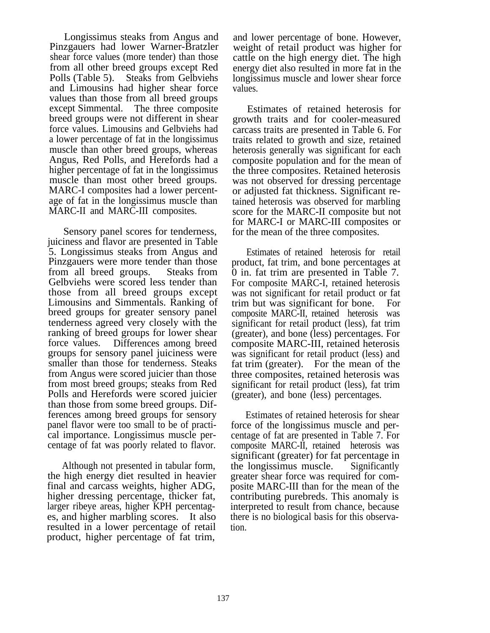Longissimus steaks from Angus and Pinzgauers had lower Warner-Bratzler shear force values (more tender) than those from all other breed groups except Red Polls (Table 5). Steaks from Gelbviehs and Limousins had higher shear force values than those from all breed groups except Simmental. The three composite breed groups were not different in shear force values. Limousins and Gelbviehs had a lower percentage of fat in the longissimus muscle than other breed groups, whereas Angus, Red Polls, and Herefords had a higher percentage of fat in the longissimus muscle than most other breed groups. MARC-I composites had a lower percentage of fat in the longissimus muscle than MARC-II and MARC-III composites.

Sensory panel scores for tenderness, juiciness and flavor are presented in Table 5. Longissimus steaks from Angus and Pinzgauers were more tender than those from all breed groups. Steaks from Gelbviehs were scored less tender than those from all breed groups except Limousins and Simmentals. Ranking of breed groups for greater sensory panel tenderness agreed very closely with the ranking of breed groups for lower shear force values. Differences among breed groups for sensory panel juiciness were smaller than those for tenderness. Steaks from Angus were scored juicier than those from most breed groups; steaks from Red Polls and Herefords were scored juicier than those from some breed groups. Differences among breed groups for sensory panel flavor were too small to be of practical importance. Longissimus muscle percentage of fat was poorly related to flavor.

Although not presented in tabular form, the high energy diet resulted in heavier final and carcass weights, higher ADG, higher dressing percentage, thicker fat, larger ribeye areas, higher KPH percentages, and higher marbling scores. It also resulted in a lower percentage of retail product, higher percentage of fat trim,

and lower percentage of bone. However, weight of retail product was higher for cattle on the high energy diet. The high energy diet also resulted in more fat in the longissimus muscle and lower shear force values.

Estimates of retained heterosis for growth traits and for cooler-measured carcass traits are presented in Table 6. For traits related to growth and size, retained heterosis generally was significant for each composite population and for the mean of the three composites. Retained heterosis was not observed for dressing percentage or adjusted fat thickness. Significant retained heterosis was observed for marbling score for the MARC-II composite but not for MARC-I or MARC-III composites or for the mean of the three composites.

Estimates of retained heterosis for retail product, fat trim, and bone percentages at 0 in. fat trim are presented in Table 7. For composite MARC-I, retained heterosis was not significant for retail product or fat trim but was significant for bone. For composite MARC-II, retained heterosis was significant for retail product (less), fat trim (greater), and bone (less) percentages. For composite MARC-III, retained heterosis was significant for retail product (less) and fat trim (greater). For the mean of the three composites, retained heterosis was significant for retail product (less), fat trim (greater), and bone (less) percentages.

Estimates of retained heterosis for shear force of the longissimus muscle and percentage of fat are presented in Table 7. For composite MARC-II, retained heterosis was significant (greater) for fat percentage in the longissimus muscle. Significantly greater shear force was required for composite MARC-III than for the mean of the contributing purebreds. This anomaly is interpreted to result from chance, because there is no biological basis for this observation.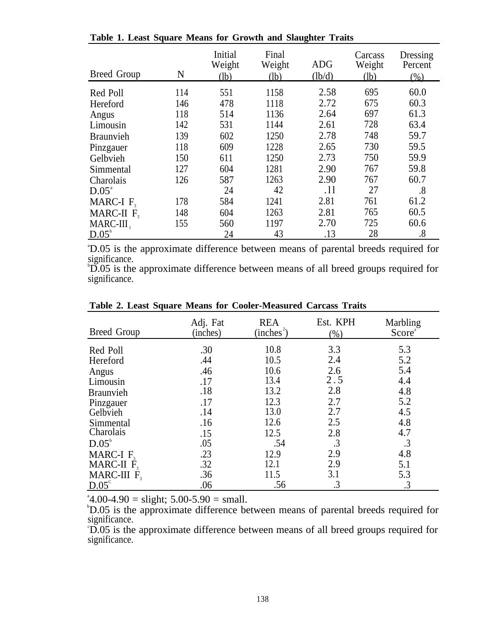| <b>Breed Group</b> | N   | Initial<br>Weight<br>(lb) | Final<br>Weight<br>(lb) | <b>ADG</b><br>(lb/d) | Carcass<br>Weight<br>(lb) | Dressing<br>Percent<br>$(\% )$ |
|--------------------|-----|---------------------------|-------------------------|----------------------|---------------------------|--------------------------------|
| Red Poll           | 114 | 551                       | 1158                    | 2.58                 | 695                       | 60.0                           |
| Hereford           | 146 | 478                       | 1118                    | 2.72                 | 675                       | 60.3                           |
| Angus              | 118 | 514                       | 1136                    | 2.64                 | 697                       | 61.3                           |
| Limousin           | 142 | 531                       | 1144                    | 2.61                 | 728                       | 63.4                           |
| <b>Braunvieh</b>   | 139 | 602                       | 1250                    | 2.78                 | 748                       | 59.7                           |
| Pinzgauer          | 118 | 609                       | 1228                    | 2.65                 | 730                       | 59.5                           |
| Gelbvieh           | 150 | 611                       | 1250                    | 2.73                 | 750                       | 59.9                           |
| Simmental          | 127 | 604                       | 1281                    | 2.90                 | 767                       | 59.8                           |
| Charolais          | 126 | 587                       | 1263                    | 2.90                 | 767                       | 60.7                           |
| $D.05^{\circ}$     |     | 24                        | 42                      | .11                  | 27                        | .8                             |
| MARC-I $F_3$       | 178 | 584                       | 1241                    | 2.81                 | 761                       | 61.2                           |
| MARC-II $F_3$      | 148 | 604                       | 1263                    | 2.81                 | 765                       | 60.5                           |
| $MARC-III$ ,       | 155 | 560                       | 1197                    | 2.70                 | 725                       | 60.6                           |
| $D.05^b$           |     | 24                        | 43                      | .13                  | 28                        | .8                             |

**Table 1. Least Square Means for Growth and Slaughter Traits**

a D.05 is the approximate difference between means of parental breeds required for significance.

b D.05 is the approximate difference between means of all breed groups required for significance.

| Breed Group      | Adj. Fat<br>(inches) | <b>REA</b><br>$(inches^2)$ | Est. KPH<br>(%) | Marbling<br>Score <sup>®</sup> |
|------------------|----------------------|----------------------------|-----------------|--------------------------------|
| Red Poll         | .30                  | 10.8                       | 3.3             | 5.3                            |
| Hereford         | .44                  | 10.5                       | 2.4             | 5.2                            |
| Angus            | .46                  | 10.6                       | 2.6             | 5.4                            |
| Limousin         | .17                  | 13.4                       | 2.5             | 4.4                            |
| <b>Braunvieh</b> | .18                  | 13.2                       | 2.8             | 4.8                            |
| Pinzgauer        | .17                  | 12.3                       | 2.7             | 5.2                            |
| Gelbvieh         | .14                  | 13.0                       | 2.7             | 4.5                            |
| Simmental        | .16                  | 12.6                       | 2.5             | 4.8                            |
| Charolais        | .15                  | 12.5                       | 2.8             | 4.7                            |
| $D.05^{\circ}$   | .05                  | .54                        | $\cdot$ 3       | .3                             |
| MARC-I $F_3$     | .23                  | 12.9                       | 2.9             | 4.8                            |
| MARC-II $F_3$    | .32                  | 12.1                       | 2.9             | 5.1                            |
| MARC-III $F_3$   | .36                  | 11.5                       | 3.1             | 5.3                            |
| $D.05^{\circ}$   | .06                  | .56                        | .3              | .3                             |

**Table 2. Least Square Means for Cooler-Measured Carcass Traits**

 $^{\circ}4.00-4.90 =$  slight; 5.00-5.90 = small.

b D.05 is the approximate difference between means of parental breeds required for significance.

c D.05 is the approximate difference between means of all breed groups required for significance.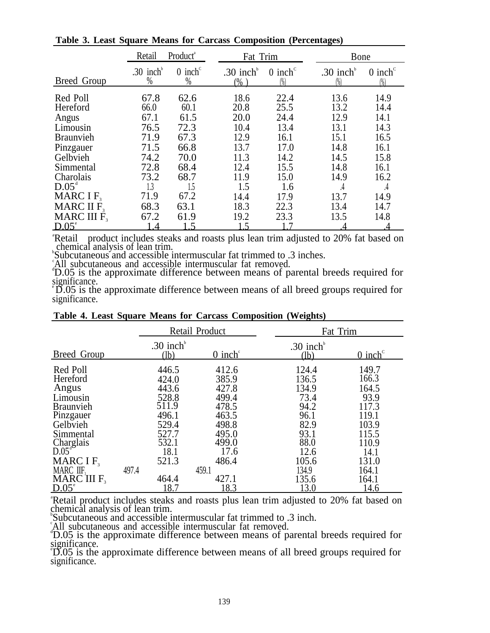|                                                                    | Product <sup>ª</sup><br>Retail         |                                      | Fat Trim                             |                                      |                                         | Bone                                         |  |  |
|--------------------------------------------------------------------|----------------------------------------|--------------------------------------|--------------------------------------|--------------------------------------|-----------------------------------------|----------------------------------------------|--|--|
| Breed Group                                                        | .30 inch<br>$\%$                       | $0$ inch <sup>c</sup><br>$\%$        | .30 inch $b$<br>$(\% )$              | $0$ inch <sup>c</sup><br>$(\%)$      | .30 inch $b$<br>$(\%)$                  | $0$ inch <sup><math>c</math></sup><br>$(\%)$ |  |  |
| Red Poll<br>Hereford<br>Angus<br>Limousin<br><b>Braunvieh</b>      | 67.8<br>66.0<br>67.1<br>76.5<br>71.9   | 62.6<br>60.1<br>61.5<br>72.3<br>67.3 | 18.6<br>20.8<br>20.0<br>10.4<br>12.9 | 22.4<br>25.5<br>24.4<br>13.4<br>16.1 | 13.6<br>13.2<br>12.9<br>13.1<br>15.1    | 14.9<br>14.4<br>14.1<br>14.3<br>16.5         |  |  |
| Pinzgauer<br>Gelbvieh<br>Simmental<br>Charolais<br>$D.05^{\circ}$  | 71.5<br>74.2<br>72.8<br>73.2<br>1.3    | 66.8<br>70.0<br>68.4<br>68.7<br>1.5  | 13.7<br>11.3<br>12.4<br>11.9<br>1.5  | 17.0<br>14.2<br>15.5<br>15.0<br>1.6  | 14.8<br>14.5<br>14.8<br>14.9            | 16.1<br>15.8<br>16.1<br>16.2<br>.4           |  |  |
| MARC I $F_3$<br>MARC II $F_{3}$<br>MARC III $F3$<br>$D.05^{\circ}$ | 71.9<br>68.3<br>67.2<br>$\overline{A}$ | 67.2<br>63.1<br>61.9<br>1.5          | 14.4<br>18.3<br>19.2<br>1.5          | 17.9<br>22.3<br>23.3                 | $\overline{.4}$<br>13.7<br>13.4<br>13.5 | 14.9<br>14.7<br>14.8                         |  |  |

**Table 3. Least Square Means for Carcass Composition (Percentages)**

D.05<sup>e</sup> 1.4 1.5 1.5 1.7 4 4<br>
<sup>a</sup>Retail product includes steaks and roasts plus lean trim adjusted to 20% fat based on<br>
chemical analysis of lean trim.<br>
Subcutaneous and accessible intermuscular fat trimmed to .3 inches.<br>
<sup></sup>

significance.<br>
"D.05 is the approximate difference between means of all breed groups required for significance.

|                                                                                                                                                                                                        |       |                                                                                                                 | Retail Product                                                                                                           | Fat Trim                                                                                                           |                                                                                                                         |
|--------------------------------------------------------------------------------------------------------------------------------------------------------------------------------------------------------|-------|-----------------------------------------------------------------------------------------------------------------|--------------------------------------------------------------------------------------------------------------------------|--------------------------------------------------------------------------------------------------------------------|-------------------------------------------------------------------------------------------------------------------------|
| Breed Group                                                                                                                                                                                            |       | .30 inch $\overline{b}$<br>(lb)                                                                                 | $0$ inch $\mathrm{C}$                                                                                                    | .30 inch $b$<br>(lb)                                                                                               | $0$ inch <sup>c</sup>                                                                                                   |
| Red Poll<br>Hereford<br>Angus<br>Limousin<br><b>Braunvieh</b><br>Pinzgauer<br>Gelbvieh<br>Simmental<br>Charglais<br>D.05 <sup>d</sup><br>MARC $IF3$<br>MARC IIF,<br>MARC III $F_{3}$<br>$D.05^{\circ}$ | 497.4 | 446.5<br>424.0<br>443.6<br>528.8<br>511.9<br>496.1<br>529.4<br>527.7<br>532.1<br>18.1<br>521.3<br>464.4<br>18.7 | 412.6<br>385.9<br>427.8<br>499.4<br>478.5<br>463.5<br>498.8<br>495.0<br>499.0<br>17.6<br>486.4<br>459.1<br>427.1<br>18.3 | 124.4<br>136.5<br>134.9<br>73.4<br>94.2<br>96.1<br>82.9<br>93.1<br>88.0<br>12.6<br>105.6<br>134.9<br>135.6<br>13.0 | 149.7<br>166.3<br>164.5<br>93.9<br>117.3<br>119.1<br>103.9<br>115.5<br>110.9<br>14.1<br>131.0<br>164.1<br>164.1<br>14.6 |
|                                                                                                                                                                                                        |       |                                                                                                                 |                                                                                                                          | "Retail product includes steaks and roasts plus lean trim adjusted to 20% fat based on                             |                                                                                                                         |

#### **Table 4. Least Square Means for Carcass Composition (Weights)**

chemical analysis of lean trim.<br>
Subcutaneous and accessible intermuscular fat trimmed to .3 inch.<br>
All subcutaneous and accessible intermuscular fat removed.<br>
D.05 is the approximate difference between means of parental b

significance.<br>
"D.05 is the approximate difference between means of all breed groups required for

significance.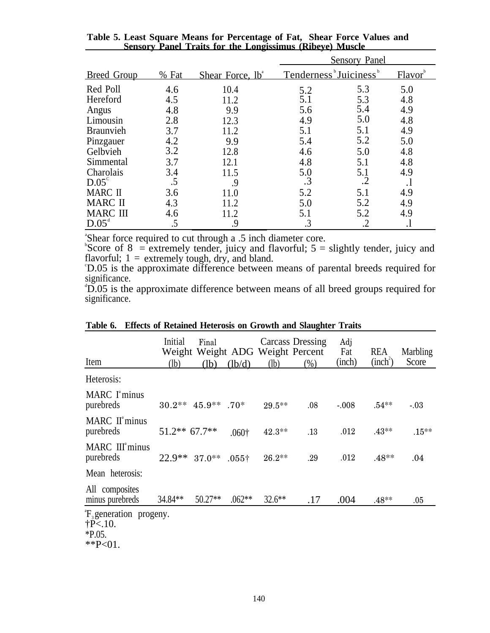|                    |       |                              | <b>Sensory Panel</b>                           |            |                     |  |
|--------------------|-------|------------------------------|------------------------------------------------|------------|---------------------|--|
| <b>Breed Group</b> | % Fat | Shear Force, 1b <sup>a</sup> | Tenderness <sup>b</sup> Juiciness <sup>b</sup> |            | Flavor <sup>b</sup> |  |
| Red Poll           | 4.6   | 10.4                         | 5.2                                            | 5.3        | 5.0                 |  |
| Hereford           | 4.5   | 11.2                         | 5.1                                            | 5.3        | 4.8                 |  |
| Angus              | 4.8   | 9.9                          | 5.6                                            | 5.4        | 4.9                 |  |
| Limousin           | 2.8   | 12.3                         | 4.9                                            | 5.0        | 4.8                 |  |
| <b>Braunvieh</b>   | 3.7   | 11.2                         | 5.1                                            | 5.1        | 4.9                 |  |
| Pinzgauer          | 4.2   | 9.9                          | 5.4                                            | 5.2        | 5.0                 |  |
| Gelbvieh           | 3.2   | 12.8                         | 4.6                                            | 5.0        | 4.8                 |  |
| Simmental          | 3.7   | 12.1                         | 4.8                                            | 5.1        | 4.8                 |  |
| Charolais          | 3.4   | 11.5                         | 5.0                                            | 5.1        | 4.9                 |  |
| $D.05^{\circ}$     | .5    | 9.                           | $\cdot$ 3                                      | $\cdot$ .2 | .1                  |  |
| <b>MARC II</b>     | 3.6   | 11.0                         | 5.2                                            | 5.1        | 4.9                 |  |
| <b>MARC II</b>     | 4.3   | 11.2                         | 5.0                                            | 5.2        | 4.9                 |  |
| <b>MARC III</b>    | 4.6   | 11.2                         | 5.1                                            | 5.2        | 4.9                 |  |
| $D.05^{\circ}$     |       | 9.                           | .3                                             | .2         |                     |  |

**Table 5. Least Square Means for Percentage of Fat, Sensory Panel Traits for the Longissimus (Ribeye) Muscle Shear Force Values and**

"Shear force required to cut through a .5 inch diameter core.<br>"Score of  $8 =$  extremely tender, juicy and flavorful;  $5 =$  slightly tender, juicy and flavorful;  $1 =$  extremely tough, dry, and bland.

D.05 is the approximate difference between means of parental breeds required for significance.

<sup>d</sup>D.05 is the approximate difference between means of all breed groups required for significance.

| Item                                                                                  | Initial<br>(lb) | Final<br>(lb)                                | (lb/d)            | Weight Weight ADG Weight Percent<br>(lb) | <b>Carcass Dressing</b><br>(%) | Adj<br>Fat<br>(inch) | <b>REA</b><br>(inch <sup>2</sup> ) | Marbling<br>Score |
|---------------------------------------------------------------------------------------|-----------------|----------------------------------------------|-------------------|------------------------------------------|--------------------------------|----------------------|------------------------------------|-------------------|
| Heterosis:                                                                            |                 |                                              |                   |                                          |                                |                      |                                    |                   |
| MARC I <sup>a</sup> minus<br>purebreds                                                |                 | $30.2**$ 45.9 <sup>**</sup> .70 <sup>*</sup> |                   | 29.5**                                   | .08                            | $-.008$              | $.54***$                           | $-.03$            |
| MARC II <sup>a</sup> minus<br>purebreds                                               | $51.2**$ 67.7** |                                              | .060 <sup>†</sup> | $42.3**$                                 | .13                            | .012                 | $.43**$                            | $.15***$          |
| MARC III <sup>a</sup> minus<br>purebreds                                              | $22.9**$ 37.0** |                                              | $.055\dagger$     | $26.2**$                                 | .29                            | .012                 | $.48**$                            | .04               |
| Mean heterosis:                                                                       |                 |                                              |                   |                                          |                                |                      |                                    |                   |
| All composites<br>minus purebreds                                                     | 34.84**         | 50.27**                                      | $.062**$          | $32.6**$                                 | .17                            | .004                 | $.48**$                            | $.05\,$           |
| $\mathrm{F}_{3}$ generation progeny.<br>$\dagger P < 10$ .<br>$*P.05.$<br>** $P<01$ . |                 |                                              |                   |                                          |                                |                      |                                    |                   |

|  |  | Table 6. Effects of Retained Heterosis on Growth and Slaughter Traits |  |  |  |  |  |  |
|--|--|-----------------------------------------------------------------------|--|--|--|--|--|--|
|--|--|-----------------------------------------------------------------------|--|--|--|--|--|--|